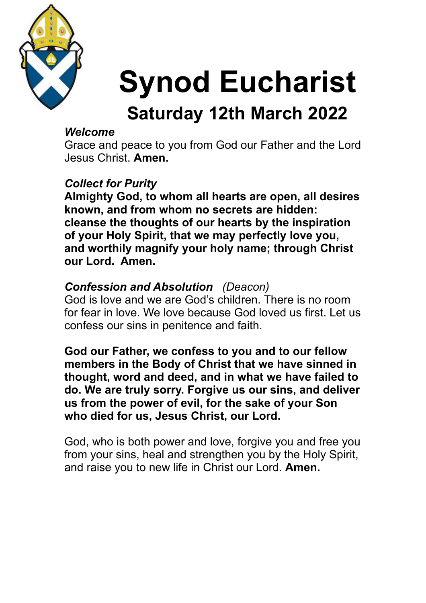

# **Synod Eucharist**

# **Saturday 12th March 2022**

#### *Welcome*

Grace and peace to you from God our Father and the Lord Jesus Christ. **Amen.**

#### *Collect for Purity*

**Almighty God, to whom all hearts are open, all desires known, and from whom no secrets are hidden: cleanse the thoughts of our hearts by the inspiration of your Holy Spirit, that we may perfectly love you, and worthily magnify your holy name; through Christ our Lord. Amen.** 

#### *Confession and Absolution (Deacon)*

God is love and we are God's children. There is no room for fear in love. We love because God loved us first. Let us confess our sins in penitence and faith.

**God our Father, we confess to you and to our fellow members in the Body of Christ that we have sinned in thought, word and deed, and in what we have failed to do. We are truly sorry. Forgive us our sins, and deliver us from the power of evil, for the sake of your Son who died for us, Jesus Christ, our Lord.** 

God, who is both power and love, forgive you and free you from your sins, heal and strengthen you by the Holy Spirit, and raise you to new life in Christ our Lord. **Amen.**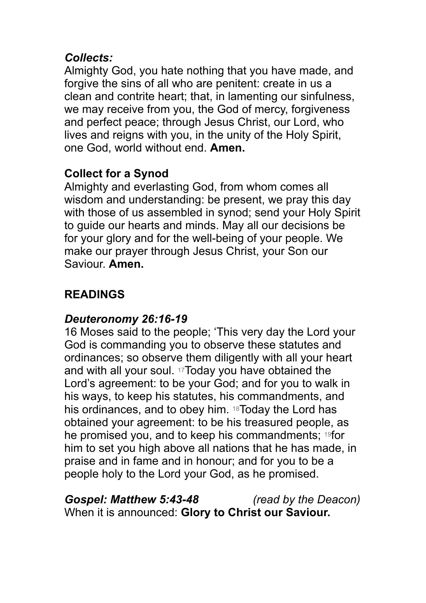#### *Collects:*

Almighty God, you hate nothing that you have made, and forgive the sins of all who are penitent: create in us a clean and contrite heart; that, in lamenting our sinfulness, we may receive from you, the God of mercy, forgiveness and perfect peace; through Jesus Christ, our Lord, who lives and reigns with you, in the unity of the Holy Spirit, one God, world without end. **Amen.** 

#### **Collect for a Synod**

Almighty and everlasting God, from whom comes all wisdom and understanding: be present, we pray this day with those of us assembled in synod; send your Holy Spirit to guide our hearts and minds. May all our decisions be for your glory and for the well-being of your people. We make our prayer through Jesus Christ, your Son our Saviour. **Amen.** 

#### **READINGS**

#### *Deuteronomy 26:16-19*

16 Moses said to the people; 'This very day the Lord your God is commanding you to observe these statutes and ordinances; so observe them diligently with all your heart and with all your soul. 17Today you have obtained the Lord's agreement: to be your God; and for you to walk in his ways, to keep his statutes, his commandments, and his ordinances, and to obey him. 18Today the Lord has obtained your agreement: to be his treasured people, as he promised you, and to keep his commandments; 19for him to set you high above all nations that he has made, in praise and in fame and in honour; and for you to be a people holy to the Lord your God, as he promised.

#### *Gospel: Matthew 5:43-48 (read by the Deacon)* When it is announced: **Glory to Christ our Saviour.**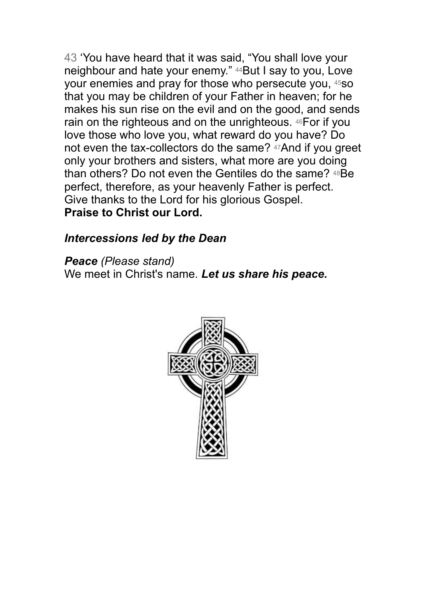43 'You have heard that it was said, "You shall love your neighbour and hate your enemy." 44But I say to you, Love your enemies and pray for those who persecute you, 45so that you may be children of your Father in heaven; for he makes his sun rise on the evil and on the good, and sends rain on the righteous and on the unrighteous. 46For if you love those who love you, what reward do you have? Do not even the tax-collectors do the same? 47And if you greet only your brothers and sisters, what more are you doing than others? Do not even the Gentiles do the same? 48Be perfect, therefore, as your heavenly Father is perfect. Give thanks to the Lord for his glorious Gospel. **Praise to Christ our Lord.** 

*Intercessions led by the Dean* 

*Peace (Please stand)*  We meet in Christ's name. *Let us share his peace.* 

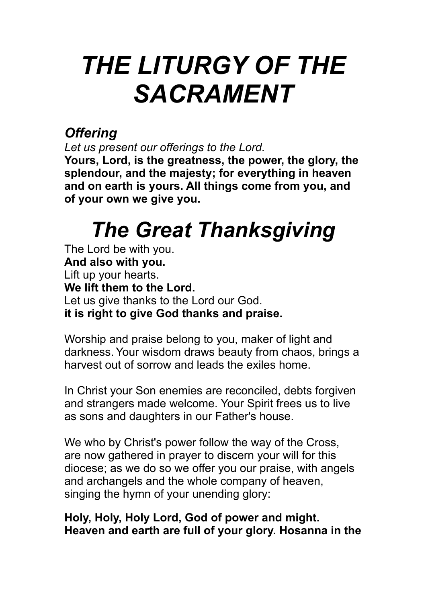# *THE LITURGY OF THE SACRAMENT*

### *Offering*

*Let us present our offerings to the Lord.* 

**Yours, Lord, is the greatness, the power, the glory, the splendour, and the majesty; for everything in heaven and on earth is yours. All things come from you, and of your own we give you.** 

# *The Great Thanksgiving*

The Lord be with you. **And also with you.**  Lift up your hearts. **We lift them to the Lord.**  Let us give thanks to the Lord our God. **it is right to give God thanks and praise.** 

Worship and praise belong to you, maker of light and darkness. Your wisdom draws beauty from chaos, brings a harvest out of sorrow and leads the exiles home.

In Christ your Son enemies are reconciled, debts forgiven and strangers made welcome. Your Spirit frees us to live as sons and daughters in our Father's house.

We who by Christ's power follow the way of the Cross, are now gathered in prayer to discern your will for this diocese; as we do so we offer you our praise, with angels and archangels and the whole company of heaven, singing the hymn of your unending glory:

#### **Holy, Holy, Holy Lord, God of power and might. Heaven and earth are full of your glory. Hosanna in the**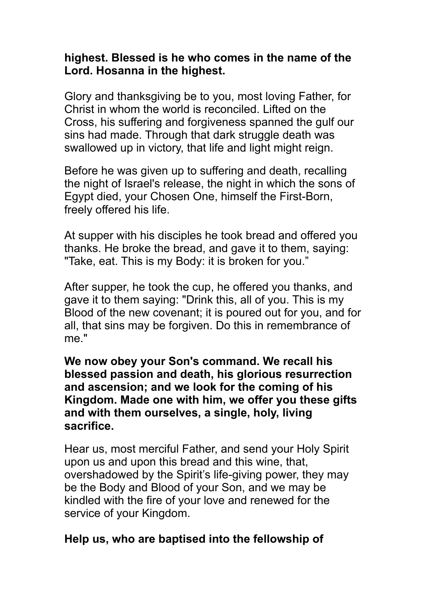#### **highest. Blessed is he who comes in the name of the Lord. Hosanna in the highest.**

Glory and thanksgiving be to you, most loving Father, for Christ in whom the world is reconciled. Lifted on the Cross, his suffering and forgiveness spanned the gulf our sins had made. Through that dark struggle death was swallowed up in victory, that life and light might reign.

Before he was given up to suffering and death, recalling the night of Israel's release, the night in which the sons of Egypt died, your Chosen One, himself the First-Born, freely offered his life.

At supper with his disciples he took bread and offered you thanks. He broke the bread, and gave it to them, saying: "Take, eat. This is my Body: it is broken for you."

After supper, he took the cup, he offered you thanks, and gave it to them saying: "Drink this, all of you. This is my Blood of the new covenant; it is poured out for you, and for all, that sins may be forgiven. Do this in remembrance of me."

**We now obey your Son's command. We recall his blessed passion and death, his glorious resurrection and ascension; and we look for the coming of his Kingdom. Made one with him, we offer you these gifts and with them ourselves, a single, holy, living sacrifice.** 

Hear us, most merciful Father, and send your Holy Spirit upon us and upon this bread and this wine, that, overshadowed by the Spirit's life-giving power, they may be the Body and Blood of your Son, and we may be kindled with the fire of your love and renewed for the service of your Kingdom.

#### **Help us, who are baptised into the fellowship of**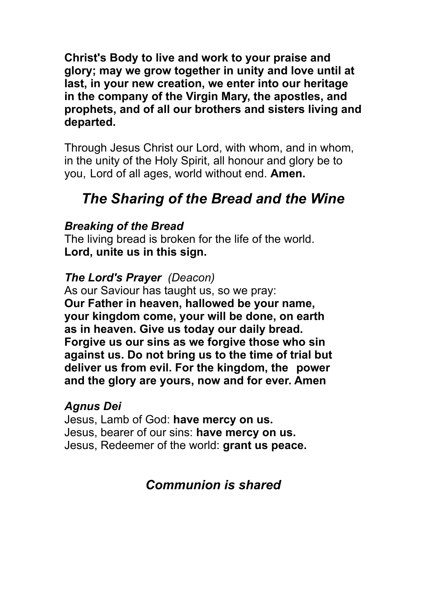**Christ's Body to live and work to your praise and glory; may we grow together in unity and love until at last, in your new creation, we enter into our heritage in the company of the Virgin Mary, the apostles, and prophets, and of all our brothers and sisters living and departed.** 

Through Jesus Christ our Lord, with whom, and in whom, in the unity of the Holy Spirit, all honour and glory be to you, Lord of all ages, world without end. **Amen.** 

### *The Sharing of the Bread and the Wine*

#### *Breaking of the Bread*

The living bread is broken for the life of the world. **Lord, unite us in this sign.** 

#### *The Lord's Prayer (Deacon)*

As our Saviour has taught us, so we pray: **Our Father in heaven, hallowed be your name, your kingdom come, your will be done, on earth as in heaven. Give us today our daily bread. Forgive us our sins as we forgive those who sin against us. Do not bring us to the time of trial but deliver us from evil. For the kingdom, the power and the glory are yours, now and for ever. Amen** 

#### *Agnus Dei*

Jesus, Lamb of God: **have mercy on us.**  Jesus, bearer of our sins: **have mercy on us.**  Jesus, Redeemer of the world: **grant us peace.**

#### *Communion is shared*